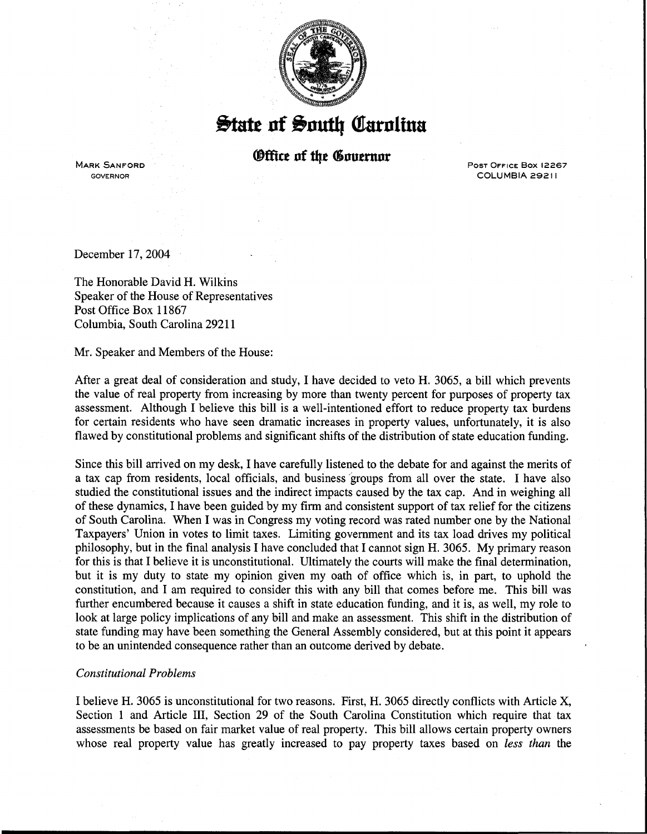

## $\frac{1}{2}$ tate of South Carolina

*®ffice of the Governor* 

MARK SANFORD GOVERNOR

PosT OFFICE Box 12267 COLUMBIA 29211

December 17, 2004

The Honorable David H. Wilkins Speaker of the House of Representatives Post Office Box 11867 Columbia, South Carolina 29211

Mr. Speaker and Members of the House:

After a great deal of consideration and study, I have decided to veto H. 3065, a bill which prevents the value of real property from increasing by more than twenty percent for purposes of property tax assessment. Although I believe this bill is a well-intentioned effort to reduce property tax burdens for certain residents who have seen dramatic increases in property values, unfortunately, it is also flawed by constitutional problems and significant shifts of the distribution of state education funding.

Since this bill arrived on my desk, I have carefully listened to the debate for and against the merits of a tax cap from residents, local officials, and business 'groups from all over the state. I have also studied the constitutional issues and the indirect impacts caused by the tax cap. And in weighing all of these dynamics, I have been guided by my firm and consistent support of tax relief for the citizens of South Carolina. When I was in Congress my voting record was rated number one by the National Taxpayers' Union in votes to limit taxes. Limiting government and its tax load drives my political philosophy, but in the final analysis I have concluded that I cannot sign H. 3065. My primary reason for this is that I believe it is unconstitutional. Ultimately the courts will make the final determination, but it is my duty to state my opinion given my oath of office which is, in part, to uphold the constitution, and I am required to consider this with any bill that comes before me. This bill was further encumbered because it causes a shift in state education funding, and it is, as well, my role to look at large policy implications of any bill and make an assessment. This shift in the distribution of state funding may have been something the General Assembly considered, but at this point it appears to be an unintended consequence rather than an outcome derived by debate.

## *Constitutional Problems*

I believe H. 3065 is unconstitutional for two reasons. First, H. 3065 directly conflicts with Article X, Section 1 and Article III, Section 29 of the South Carolina Constitution which require that tax assessments be based on fair market value of real property. This bill allows certain property owners whose real property value has greatly increased to pay property taxes based on *less than* the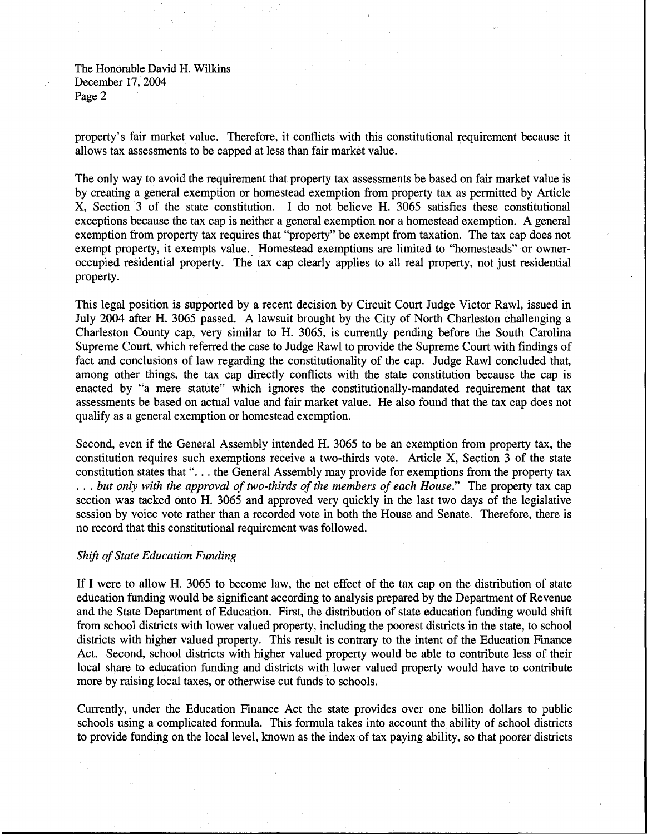The Honorable David H. Wilkins December 17, 2004 Page 2

property's fair market value. Therefore, it conflicts with this constitutional requirement because it allows tax assessments to be capped at less than fair market value.

The only way to avoid the requirement that property tax assessments be based on fair market value is by creating a general exemption or homestead exemption from property tax as permitted by Article X, Section 3 of the state constitution. I do not believe H. 3065 satisfies these constitutional exceptions because the tax cap is neither a general exemption nor a homestead exemption. A general exemption from property tax requires that "property" be exempt from taxation. The tax cap does not exempt property, it exempts value. Homestead exemptions are limited to "homesteads" or owneroccupied residential property. The tax cap clearly applies to all real property, not just residential property.

This legal position is supported by a recent decision by Circuit Court Judge Victor Rawl, issued in July 2004 after H. 3065 passed. A lawsuit brought by the City of North Charleston challenging a Charleston County cap, very similar to H. 3065, is currently pending before the South Carolina Supreme Court, which referred the case to Judge Rawl to provide the Supreme Court with findings of fact and conclusions of law regarding the constitutionality of the cap. Judge Rawl concluded that, among other things, the tax cap directly conflicts with the state constitution because the cap is enacted by "a mere statute" which ignores the constitutionally-mandated requirement that tax assessments be based on actual value and fair market value. He also found that the tax cap does not qualify as a general exemption or homestead exemption.

Second, even if the General Assembly intended H. 3065 to be an exemption from property tax, the constitution requires such exemptions receive a two-thirds vote. Article X, Section 3 of the state constitution states that "... the General Assembly may provide for exemptions from the property tax ... *but only with the approval of two-thirds of the members of each House."* The property tax cap section was tacked onto H. 3065 and approved very quickly in the last two days of the legislative session by voice vote rather than a recorded vote in both the House and Senate. Therefore, there is no record that this constitutional requirement was followed.

## *Shift of State Education Funding*

If I were to allow H. 3065 to become law, the net effect of the tax cap on the distribution of state education funding would be significant according to analysis prepared by the Department of Revenue and the State Department of Education. First, the distribution of state education funding would shift from school districts with lower valued property, including the poorest districts in the state, to school districts with higher valued property. This result is contrary to the intent of the Education Finance Act. Second, school districts with higher valued property would be able to contribute less of their local share to education funding and districts with lower valued property would have to contribute more by raising local taxes, or otherwise cut funds to schools.

Currently, under the Education Finance Act the state provides over one billion dollars to public schools using a complicated formula. This formula takes into account the ability of school districts to provide funding on the local level, known as the index of tax paying ability, so that poorer districts